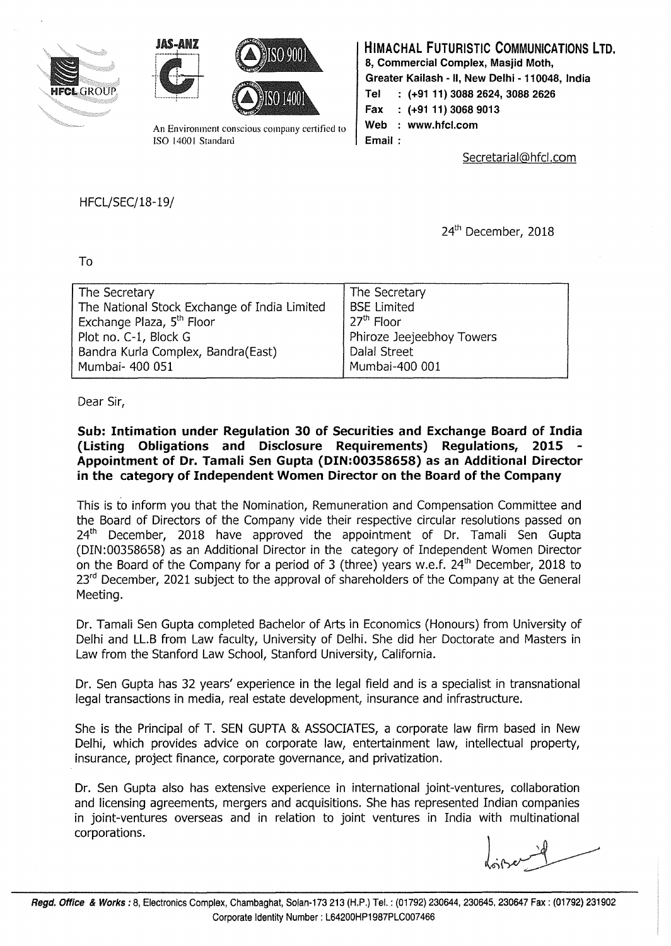





An Environment conscious company certified to ISO 1400 l Standard

## HIMACHAL FUTURISTIC COMMUNICATIONS LTD. 8, Commercial Complex, Masjid Moth,

Greater Kailash - II, New Delhi - 110048, India

- Tel : (+91 11) 3088 2624, 3088 2626
- Fax : (+9111) 3068 9013
- Web : www.hfcl.com

Email :

Secretarial@hfcl.com

HFCL/SEC/18-19/

24<sup>th</sup> December, 2018

To

| The Secretary                                | The Secretary             |
|----------------------------------------------|---------------------------|
| The National Stock Exchange of India Limited | BSE Limited               |
| Exchange Plaza, 5 <sup>th</sup> Floor        | 27 <sup>th</sup> Floor    |
| Plot no. C-1, Block G                        | Phiroze Jeejeebhoy Towers |
| Bandra Kurla Complex, Bandra(East)           | Dalal Street              |
| Mumbai- 400 051                              | Mumbai-400 001            |
|                                              |                           |

Dear Sir,

Sub: Intimation under Regulation 30 of Securities and Exchange Board of India (Listing Obligations and Disclosure Requirements) Regulations, 2015 Appointment of Dr. Tamali Sen Gupta (DIN:00358658) as an Additional Director in the category of Independent Women Director on the Board of the Company

This is to inform you that the Nomination, Remuneration and Compensation Committee and the Board of Directors of the Company vide their respective circular resolutions passed on 24<sup>th</sup> December, 2018 have approved the appointment of Dr. Tamali Sen Gupta (DIN:00358658) as an Additional Director in the category of Independent Women Director on the Board of the Company for a period of 3 (three) years w.e.f.  $24<sup>th</sup>$  December, 2018 to 23<sup>rd</sup> December, 2021 subject to the approval of shareholders of the Company at the General Meeting.

Dr. Tamali Sen Gupta completed Bachelor of Arts in Economics (Honours) from University of Delhi and LL.B from Law faculty, University of Delhi. She did her Doctorate and Masters in Law from the Stanford Law School, Stanford University, California.

Dr. Sen Gupta has 32 years' experience in the legal field and is a specialist in transnational legal transactions in media, real estate development, insurance and infrastructure.

She is the Principal of T. SEN GUPTA & ASSOCIATES, a corporate law firm based in New Delhi, which provides advice on corporate law, entertainment law, intellectual property, insurance, project finance, corporate governance, and privatization.

Dr. Sen Gupta also has extensive experience in international joint-ventures, collaboration and licensing agreements, mergers and acquisitions. She has represented Indian companies in joint-ventures overseas and in relation to joint ventures in India with multinational corporations.